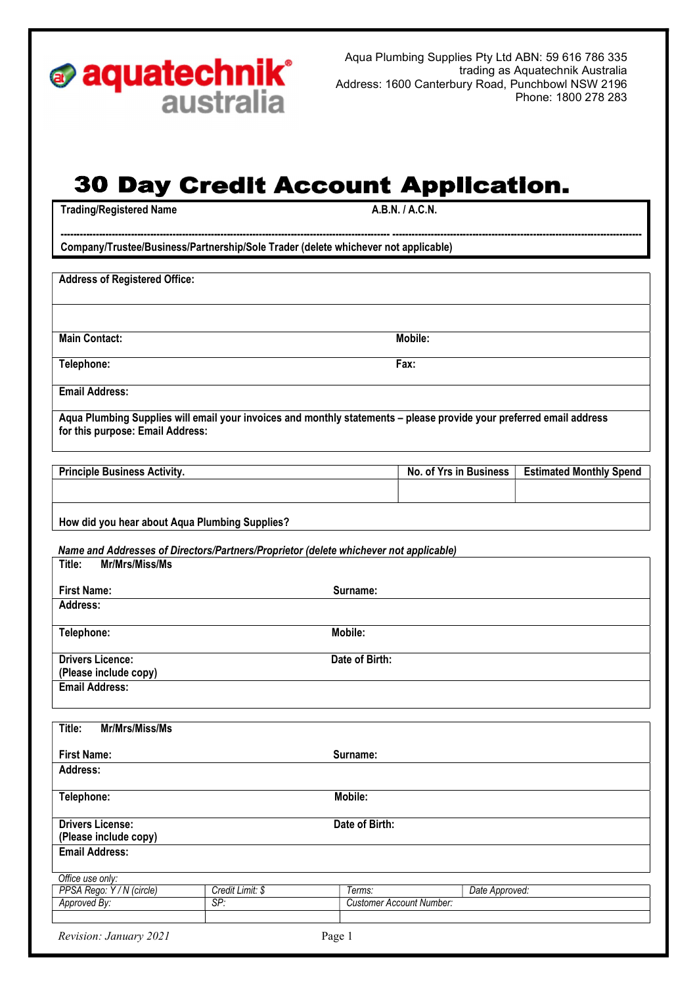

Aqua Plumbing Supplies Pty Ltd ABN: 59 616 786 335 trading as Aquatechnik Australia Address: 1600 Canterbury Road, Punchbowl NSW 2196 Phone: 1800 278 283

## **30 Day Credit Account Application.**

------------------------------------------------------------------------------------------------------- ------------------------------------------------------------------------------

Trading/Registered Name A.B.N. / A.C.N.

Company/Trustee/Business/Partnership/Sole Trader (delete whichever not applicable)

Address of Registered Office:

Main Contact: Mobile: Mobile: Mobile: Mobile: Mobile: Mobile: Mobile: Mobile: Mobile: Mobile: Mobile: Mobile: Mobile: Mobile: Mobile: Mobile: Mobile: Mobile: Mobile: Mobile: Mobile: Mobile: Mobile: Mobile: Mobile: Mobile:

Telephone: Fax:

Email Address:

Aqua Plumbing Supplies will email your invoices and monthly statements – please provide your preferred email address for this purpose: Email Address:

| <b>Principle Business Activity.</b> | No. of Yrs in Business | <b>Estimated Monthly Spend</b> |
|-------------------------------------|------------------------|--------------------------------|
|                                     |                        |                                |

How did you hear about Aqua Plumbing Supplies?

Name and Addresses of Directors/Partners/Proprietor (delete whichever not applicable)

| Mr/Mrs/Miss/Ms<br>Title:                         |                |
|--------------------------------------------------|----------------|
| <b>First Name:</b>                               | Surname:       |
| Address:                                         |                |
| Telephone:                                       | Mobile:        |
| <b>Drivers Licence:</b><br>(Please include copy) | Date of Birth: |
| <b>Email Address:</b>                            |                |
| Mr/Mrs/Miss/Ms<br>Title:                         |                |
| <b>First Name:</b>                               | Surname:       |
| Address:                                         |                |

| Telephone:              | Mobile:        |  |
|-------------------------|----------------|--|
| <b>Drivers License:</b> | Date of Birth: |  |
| (Please include copy)   |                |  |
| <b>Email Address:</b>   |                |  |
|                         |                |  |
| Office use only:        |                |  |

| PPSA Rego: Y / N (circle)        | Credit Limit: \$ | Terms:                   | Date Approved: |
|----------------------------------|------------------|--------------------------|----------------|
| Approved By:                     | SP:              | Customer Account Number: |                |
|                                  |                  |                          |                |
| Revision: January 2021<br>Page 1 |                  |                          |                |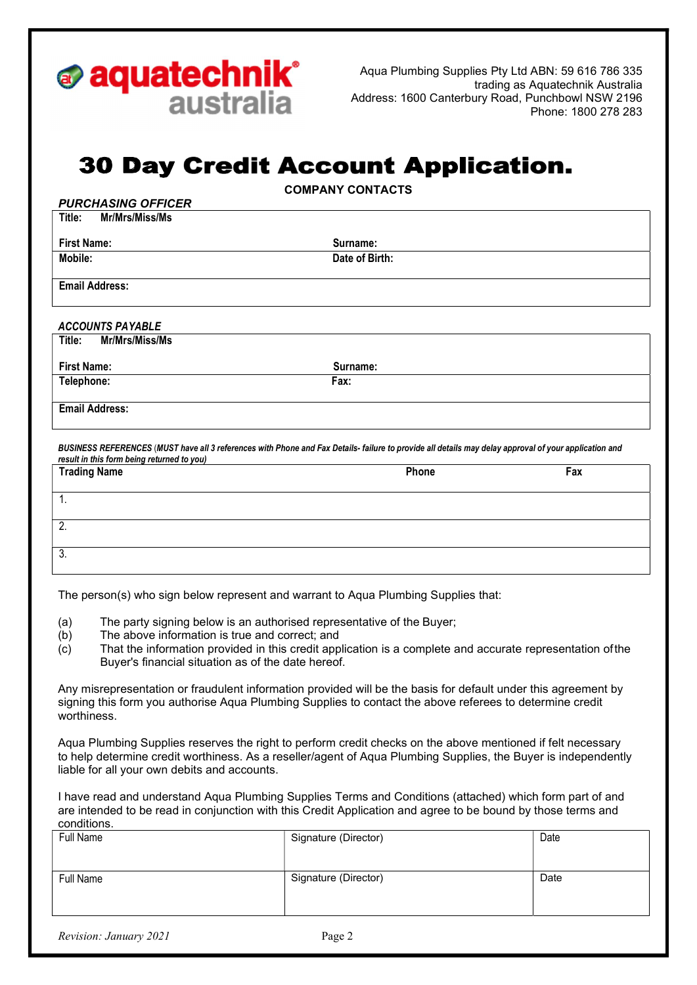

ACCOUNTS PAYABLE

Aqua Plumbing Supplies Pty Ltd ABN: 59 616 786 335 trading as Aquatechnik Australia Address: 1600 Canterbury Road, Punchbowl NSW 2196 Phone: 1800 278 283

## **30 Day Credit Account Application.**

COMPANY CONTACTS

| <b>PURCHASING OFFICER</b> |                |
|---------------------------|----------------|
| Mr/Mrs/Miss/Ms<br>Title:  |                |
|                           |                |
| <b>First Name:</b>        | Surname:       |
| Mobile:                   | Date of Birth: |
|                           |                |
| <b>Email Address:</b>     |                |
|                           |                |
|                           |                |

| Title:<br>Mr/Mrs/Miss/Ms |          |
|--------------------------|----------|
| <b>First Name:</b>       | Surname: |
| Telephone:               | Fax:     |
|                          |          |
| <b>Email Address:</b>    |          |

BUSINESS REFERENCES (MUST have all 3 references with Phone and Fax Details- failure to provide all details may delay approval of your application and result in this form being returned to you)

| <b>Trading Name</b> | Phone | Fax |
|---------------------|-------|-----|
|                     |       |     |
| . .                 |       |     |
| 2.                  |       |     |
|                     |       |     |
| 3.                  |       |     |

The person(s) who sign below represent and warrant to Aqua Plumbing Supplies that:

- (a) The party signing below is an authorised representative of the Buyer;
- (b) The above information is true and correct; and
- $(c)$  That the information provided in this credit application is a complete and accurate representation of the Buyer's financial situation as of the date hereof.

Any misrepresentation or fraudulent information provided will be the basis for default under this agreement by signing this form you authorise Aqua Plumbing Supplies to contact the above referees to determine credit worthiness.

Aqua Plumbing Supplies reserves the right to perform credit checks on the above mentioned if felt necessary to help determine credit worthiness. As a reseller/agent of Aqua Plumbing Supplies, the Buyer is independently liable for all your own debits and accounts.

I have read and understand Aqua Plumbing Supplies Terms and Conditions (attached) which form part of and are intended to be read in conjunction with this Credit Application and agree to be bound by those terms and conditions.

| ------------ |                      |      |
|--------------|----------------------|------|
| Full Name    | Signature (Director) | Date |
| Full Name    | Signature (Director) | Date |
|              |                      |      |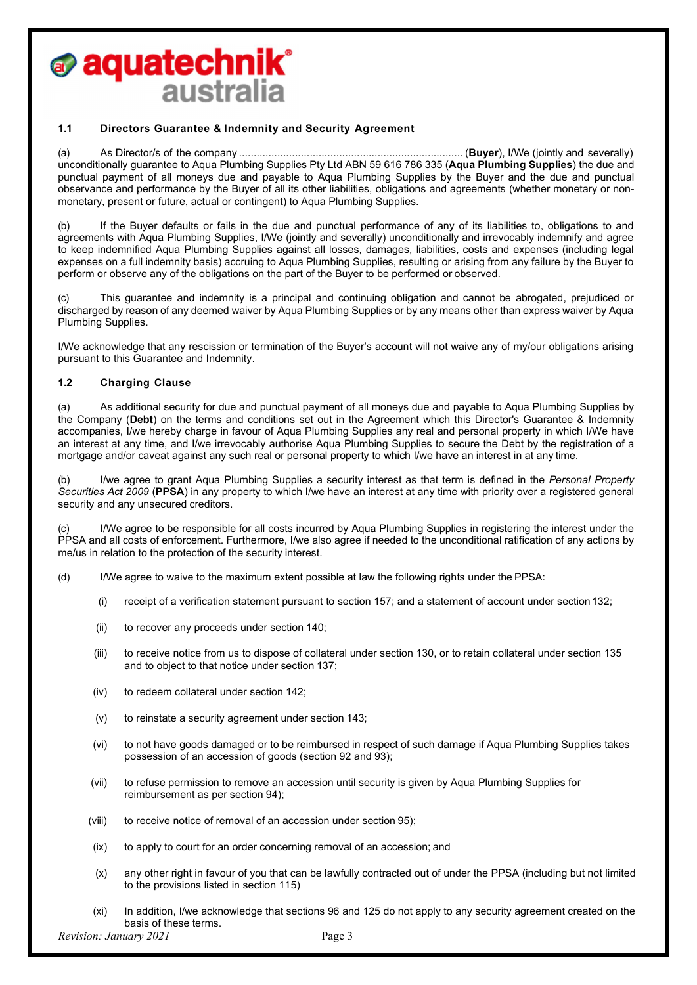## *s* **aquatechnik**° australia

#### 1.1 Directors Guarantee & Indemnity and Security Agreement

(a) As Director/s of the company ............................................................................ (Buyer), I/We (jointly and severally) unconditionally guarantee to Aqua Plumbing Supplies Pty Ltd ABN 59 616 786 335 (Aqua Plumbing Supplies) the due and punctual payment of all moneys due and payable to Aqua Plumbing Supplies by the Buyer and the due and punctual observance and performance by the Buyer of all its other liabilities, obligations and agreements (whether monetary or nonmonetary, present or future, actual or contingent) to Aqua Plumbing Supplies.

(b) If the Buyer defaults or fails in the due and punctual performance of any of its liabilities to, obligations to and agreements with Aqua Plumbing Supplies, I/We (jointly and severally) unconditionally and irrevocably indemnify and agree to keep indemnified Aqua Plumbing Supplies against all losses, damages, liabilities, costs and expenses (including legal expenses on a full indemnity basis) accruing to Aqua Plumbing Supplies, resulting or arising from any failure by the Buyer to perform or observe any of the obligations on the part of the Buyer to be performed or observed.

(c) This guarantee and indemnity is a principal and continuing obligation and cannot be abrogated, prejudiced or discharged by reason of any deemed waiver by Aqua Plumbing Supplies or by any means other than express waiver by Aqua Plumbing Supplies.

I/We acknowledge that any rescission or termination of the Buyer's account will not waive any of my/our obligations arising pursuant to this Guarantee and Indemnity.

#### 1.2 Charging Clause

(a) As additional security for due and punctual payment of all moneys due and payable to Aqua Plumbing Supplies by the Company (Debt) on the terms and conditions set out in the Agreement which this Director's Guarantee & Indemnity accompanies, I/we hereby charge in favour of Aqua Plumbing Supplies any real and personal property in which I/We have an interest at any time, and I/we irrevocably authorise Aqua Plumbing Supplies to secure the Debt by the registration of a mortgage and/or caveat against any such real or personal property to which I/we have an interest in at any time.

(b) I/we agree to grant Agua Plumbing Supplies a security interest as that term is defined in the Personal Property Securities Act 2009 (PPSA) in any property to which I/we have an interest at any time with priority over a registered general security and any unsecured creditors.

(c) I/We agree to be responsible for all costs incurred by Aqua Plumbing Supplies in registering the interest under the PPSA and all costs of enforcement. Furthermore, I/we also agree if needed to the unconditional ratification of any actions by me/us in relation to the protection of the security interest.

(d) I/We agree to waive to the maximum extent possible at law the following rights under the PPSA:

- (i) receipt of a verification statement pursuant to section 157; and a statement of account under section 132;
- (ii) to recover any proceeds under section 140;
- (iii) to receive notice from us to dispose of collateral under section 130, or to retain collateral under section 135 and to object to that notice under section 137;
- (iv) to redeem collateral under section 142;
- (v) to reinstate a security agreement under section 143;
- (vi) to not have goods damaged or to be reimbursed in respect of such damage if Aqua Plumbing Supplies takes possession of an accession of goods (section 92 and 93);
- (vii) to refuse permission to remove an accession until security is given by Aqua Plumbing Supplies for reimbursement as per section 94);
- (viii) to receive notice of removal of an accession under section 95);
- (ix) to apply to court for an order concerning removal of an accession; and
- (x) any other right in favour of you that can be lawfully contracted out of under the PPSA (including but not limited to the provisions listed in section 115)
- (xi) In addition, I/we acknowledge that sections 96 and 125 do not apply to any security agreement created on the basis of these terms.